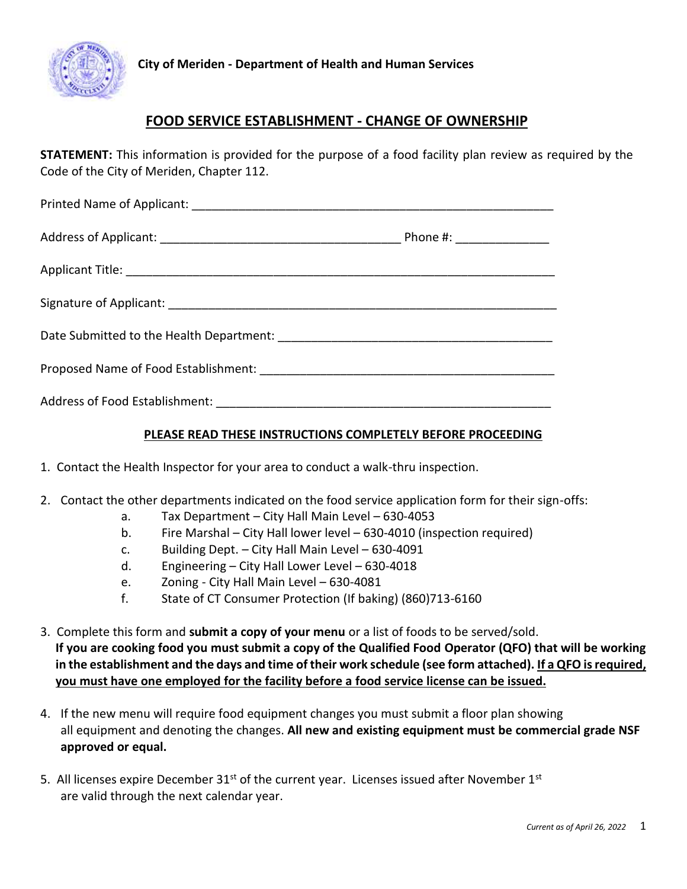

## **FOOD SERVICE ESTABLISHMENT - CHANGE OF OWNERSHIP**

**STATEMENT:** This information is provided for the purpose of a food facility plan review as required by the Code of the City of Meriden, Chapter 112.

| Phone #: _________________ |  |
|----------------------------|--|
|                            |  |
|                            |  |
|                            |  |
|                            |  |
|                            |  |

## **PLEASE READ THESE INSTRUCTIONS COMPLETELY BEFORE PROCEEDING**

- 1. Contact the Health Inspector for your area to conduct a walk-thru inspection.
- 2. Contact the other departments indicated on the food service application form for their sign-offs:
	- a. Tax Department City Hall Main Level 630-4053
	- b. Fire Marshal City Hall lower level 630-4010 (inspection required)
	- c. Building Dept. City Hall Main Level 630-4091
	- d. Engineering City Hall Lower Level 630-4018
	- e. Zoning City Hall Main Level 630-4081
	- f. State of CT Consumer Protection (If baking) (860)713-6160
- 3. Complete this form and **submit a copy of your menu** or a list of foods to be served/sold. **If you are cooking food you must submit a copy of the Qualified Food Operator (QFO) that will be working in the establishment and the days and time of their work schedule (see form attached). If a QFO is required, you must have one employed for the facility before a food service license can be issued.**
- 4. If the new menu will require food equipment changes you must submit a floor plan showing all equipment and denoting the changes. **All new and existing equipment must be commercial grade NSF approved or equal.**
- 5. All licenses expire December  $31<sup>st</sup>$  of the current year. Licenses issued after November  $1<sup>st</sup>$ are valid through the next calendar year.